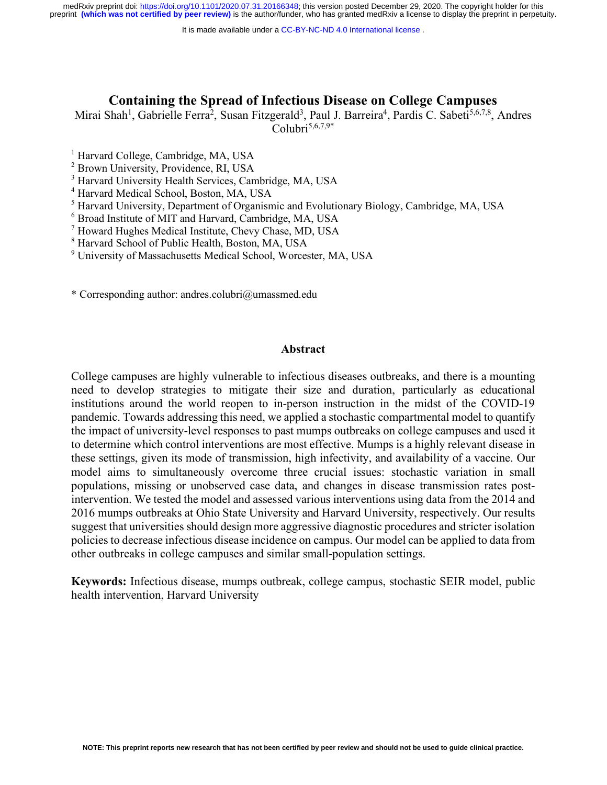It is made available under a [CC-BY-NC-ND 4.0 International license](http://creativecommons.org/licenses/by-nc-nd/4.0/) .

### **Containing the Spread of Infectious Disease on College Campuses**

Mirai Shah<sup>1</sup>, Gabrielle Ferra<sup>2</sup>, Susan Fitzgerald<sup>3</sup>, Paul J. Barreira<sup>4</sup>, Pardis C. Sabeti<sup>5,6,7,8</sup>, Andres  $C_0$ lubri<sup>5,6,7,9\*</sup>

- <sup>1</sup> Harvard College, Cambridge, MA, USA
- <sup>2</sup> Brown University, Providence, RI, USA
- <sup>3</sup> Harvard University Health Services, Cambridge, MA, USA
- <sup>4</sup> Harvard Medical School, Boston, MA, USA
- <sup>5</sup> Harvard University, Department of Organismic and Evolutionary Biology, Cambridge, MA, USA
- <sup>6</sup> Broad Institute of MIT and Harvard, Cambridge, MA, USA
- <sup>7</sup> Howard Hughes Medical Institute, Chevy Chase, MD, USA
- <sup>8</sup> Harvard School of Public Health, Boston, MA, USA
- <sup>9</sup> University of Massachusetts Medical School, Worcester, MA, USA

\* Corresponding author: andres.colubri@umassmed.edu

#### **Abstract**

College campuses are highly vulnerable to infectious diseases outbreaks, and there is a mounting need to develop strategies to mitigate their size and duration, particularly as educational institutions around the world reopen to in-person instruction in the midst of the COVID-19 pandemic. Towards addressing this need, we applied a stochastic compartmental model to quantify the impact of university-level responses to past mumps outbreaks on college campuses and used it to determine which control interventions are most effective. Mumps is a highly relevant disease in these settings, given its mode of transmission, high infectivity, and availability of a vaccine. Our model aims to simultaneously overcome three crucial issues: stochastic variation in small populations, missing or unobserved case data, and changes in disease transmission rates postintervention. We tested the model and assessed various interventions using data from the 2014 and 2016 mumps outbreaks at Ohio State University and Harvard University, respectively. Our results suggest that universities should design more aggressive diagnostic procedures and stricter isolation policies to decrease infectious disease incidence on campus. Our model can be applied to data from other outbreaks in college campuses and similar small-population settings.

**Keywords:** Infectious disease, mumps outbreak, college campus, stochastic SEIR model, public health intervention, Harvard University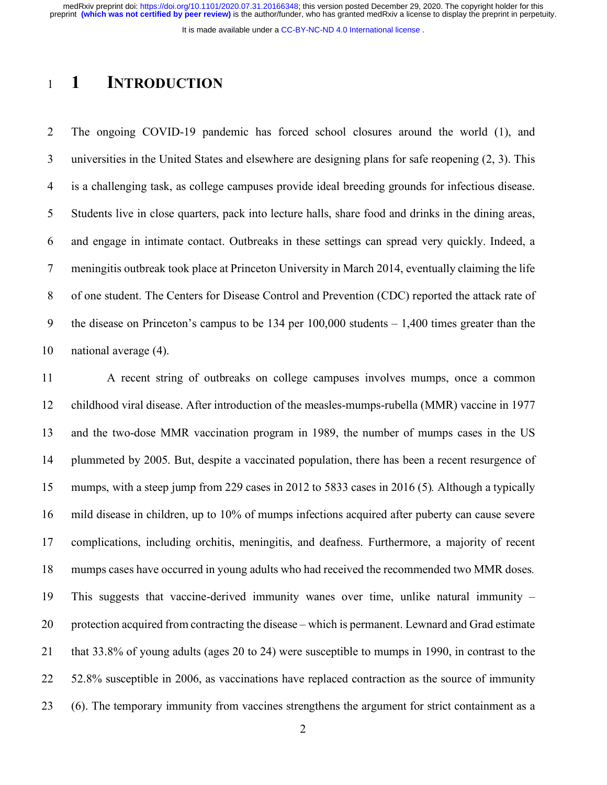It is made available under a [CC-BY-NC-ND 4.0 International license](http://creativecommons.org/licenses/by-nc-nd/4.0/) .

## **1 INTRODUCTION**

 The ongoing COVID-19 pandemic has forced school closures around the world (1), and universities in the United States and elsewhere are designing plans for safe reopening (2, 3). This is a challenging task, as college campuses provide ideal breeding grounds for infectious disease. Students live in close quarters, pack into lecture halls, share food and drinks in the dining areas, and engage in intimate contact. Outbreaks in these settings can spread very quickly. Indeed, a meningitis outbreak took place at Princeton University in March 2014, eventually claiming the life of one student. The Centers for Disease Control and Prevention (CDC) reported the attack rate of the disease on Princeton's campus to be 134 per 100,000 students – 1,400 times greater than the national average (4).

 A recent string of outbreaks on college campuses involves mumps, once a common childhood viral disease. After introduction of the measles-mumps-rubella (MMR) vaccine in 1977 and the two-dose MMR vaccination program in 1989, the number of mumps cases in the US plummeted by 2005. But, despite a vaccinated population, there has been a recent resurgence of mumps, with a steep jump from 229 cases in 2012 to 5833 cases in 2016 (5)*.* Although a typically mild disease in children, up to 10% of mumps infections acquired after puberty can cause severe complications, including orchitis, meningitis, and deafness. Furthermore, a majority of recent mumps cases have occurred in young adults who had received the recommended two MMR doses*.* This suggests that vaccine-derived immunity wanes over time, unlike natural immunity – protection acquired from contracting the disease – which is permanent. Lewnard and Grad estimate that 33.8% of young adults (ages 20 to 24) were susceptible to mumps in 1990, in contrast to the 52.8% susceptible in 2006, as vaccinations have replaced contraction as the source of immunity (6). The temporary immunity from vaccines strengthens the argument for strict containment as a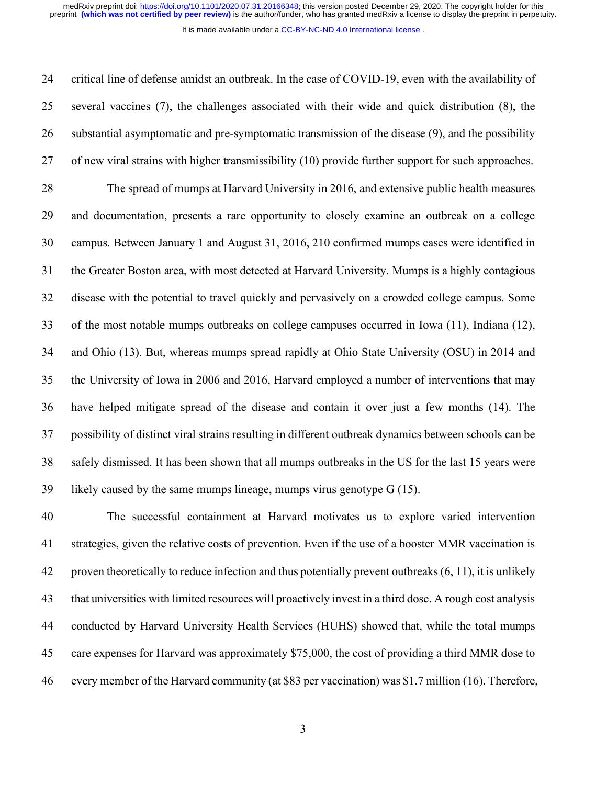It is made available under a [CC-BY-NC-ND 4.0 International license](http://creativecommons.org/licenses/by-nc-nd/4.0/) .

 critical line of defense amidst an outbreak. In the case of COVID-19, even with the availability of several vaccines (7), the challenges associated with their wide and quick distribution (8), the substantial asymptomatic and pre-symptomatic transmission of the disease (9), and the possibility of new viral strains with higher transmissibility (10) provide further support for such approaches. The spread of mumps at Harvard University in 2016, and extensive public health measures and documentation, presents a rare opportunity to closely examine an outbreak on a college campus. Between January 1 and August 31, 2016, 210 confirmed mumps cases were identified in the Greater Boston area, with most detected at Harvard University. Mumps is a highly contagious disease with the potential to travel quickly and pervasively on a crowded college campus. Some of the most notable mumps outbreaks on college campuses occurred in Iowa (11), Indiana (12), and Ohio (13). But, whereas mumps spread rapidly at Ohio State University (OSU) in 2014 and the University of Iowa in 2006 and 2016, Harvard employed a number of interventions that may have helped mitigate spread of the disease and contain it over just a few months (14). The possibility of distinct viral strains resulting in different outbreak dynamics between schools can be safely dismissed. It has been shown that all mumps outbreaks in the US for the last 15 years were 39 likely caused by the same mumps lineage, mumps virus genotype  $G(15)$ .

 The successful containment at Harvard motivates us to explore varied intervention strategies, given the relative costs of prevention. Even if the use of a booster MMR vaccination is proven theoretically to reduce infection and thus potentially prevent outbreaks (6, 11), it is unlikely that universities with limited resources will proactively invest in a third dose. A rough cost analysis conducted by Harvard University Health Services (HUHS) showed that, while the total mumps care expenses for Harvard was approximately \$75,000, the cost of providing a third MMR dose to every member of the Harvard community (at \$83 per vaccination) was \$1.7 million (16). Therefore,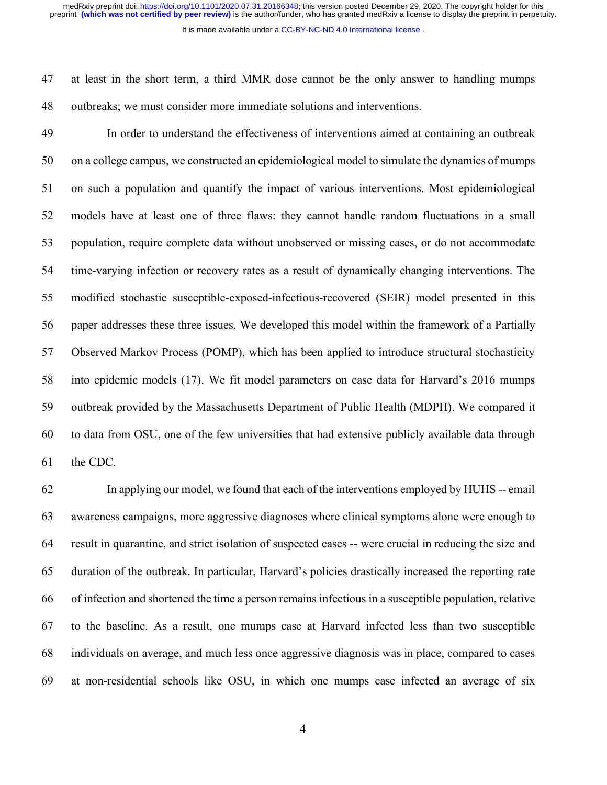It is made available under a [CC-BY-NC-ND 4.0 International license](http://creativecommons.org/licenses/by-nc-nd/4.0/) .

 at least in the short term, a third MMR dose cannot be the only answer to handling mumps outbreaks; we must consider more immediate solutions and interventions.

 In order to understand the effectiveness of interventions aimed at containing an outbreak on a college campus, we constructed an epidemiological model to simulate the dynamics of mumps on such a population and quantify the impact of various interventions. Most epidemiological models have at least one of three flaws: they cannot handle random fluctuations in a small population, require complete data without unobserved or missing cases, or do not accommodate time-varying infection or recovery rates as a result of dynamically changing interventions. The modified stochastic susceptible-exposed-infectious-recovered (SEIR) model presented in this paper addresses these three issues. We developed this model within the framework of a Partially Observed Markov Process (POMP), which has been applied to introduce structural stochasticity into epidemic models (17). We fit model parameters on case data for Harvard's 2016 mumps outbreak provided by the Massachusetts Department of Public Health (MDPH). We compared it to data from OSU, one of the few universities that had extensive publicly available data through the CDC.

 In applying our model, we found that each of the interventions employed by HUHS -- email awareness campaigns, more aggressive diagnoses where clinical symptoms alone were enough to result in quarantine, and strict isolation of suspected cases -- were crucial in reducing the size and duration of the outbreak. In particular, Harvard's policies drastically increased the reporting rate of infection and shortened the time a person remains infectious in a susceptible population, relative to the baseline. As a result, one mumps case at Harvard infected less than two susceptible individuals on average, and much less once aggressive diagnosis was in place, compared to cases at non-residential schools like OSU, in which one mumps case infected an average of six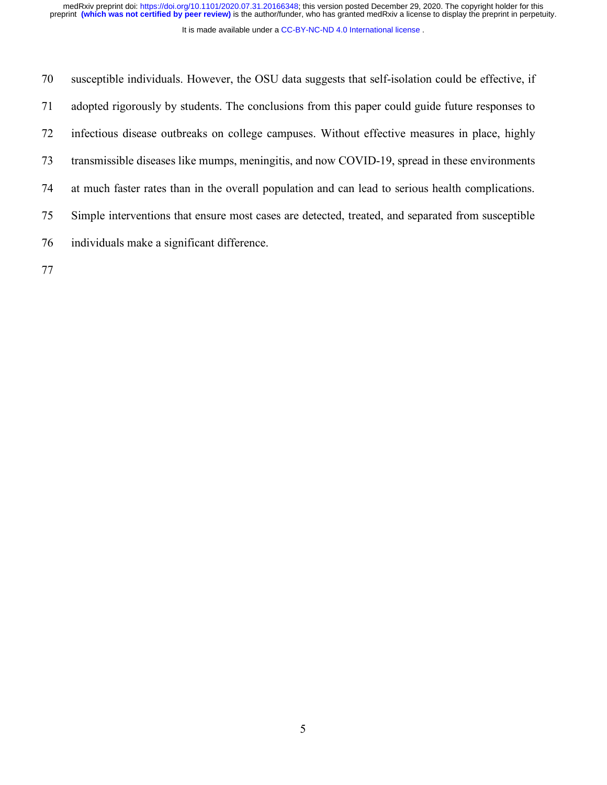medRxiv preprint doi: [https://doi.org/10.1101/2020.07.31.20166348;](https://doi.org/10.1101/2020.07.31.20166348) this version posted December 29, 2020. The copyright holder for this<br>preprint (which was not certified by peer review) is the author/funder, who has grante

It is made available under a [CC-BY-NC-ND 4.0 International license](http://creativecommons.org/licenses/by-nc-nd/4.0/) .

 susceptible individuals. However, the OSU data suggests that self-isolation could be effective, if adopted rigorously by students. The conclusions from this paper could guide future responses to infectious disease outbreaks on college campuses. Without effective measures in place, highly transmissible diseases like mumps, meningitis, and now COVID-19, spread in these environments at much faster rates than in the overall population and can lead to serious health complications. Simple interventions that ensure most cases are detected, treated, and separated from susceptible individuals make a significant difference.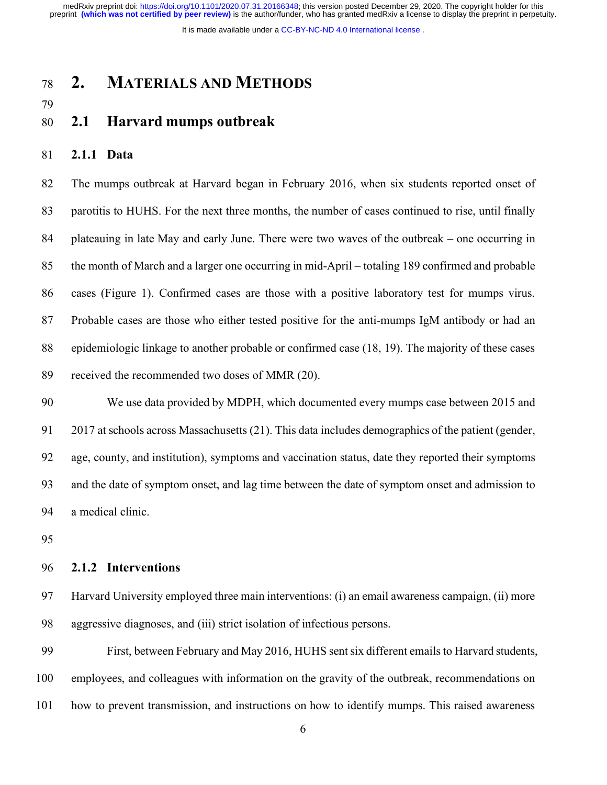It is made available under a [CC-BY-NC-ND 4.0 International license](http://creativecommons.org/licenses/by-nc-nd/4.0/) .

## **2. MATERIALS AND METHODS**

### **2.1 Harvard mumps outbreak**

### **2.1.1 Data**

 The mumps outbreak at Harvard began in February 2016, when six students reported onset of parotitis to HUHS. For the next three months, the number of cases continued to rise, until finally plateauing in late May and early June. There were two waves of the outbreak – one occurring in the month of March and a larger one occurring in mid-April – totaling 189 confirmed and probable cases (Figure 1). Confirmed cases are those with a positive laboratory test for mumps virus. Probable cases are those who either tested positive for the anti-mumps IgM antibody or had an epidemiologic linkage to another probable or confirmed case (18, 19). The majority of these cases received the recommended two doses of MMR (20).

 We use data provided by MDPH, which documented every mumps case between 2015 and 2017 at schools across Massachusetts (21). This data includes demographics of the patient (gender, age, county, and institution), symptoms and vaccination status, date they reported their symptoms and the date of symptom onset, and lag time between the date of symptom onset and admission to a medical clinic.

#### **2.1.2 Interventions**

 Harvard University employed three main interventions: (i) an email awareness campaign, (ii) more aggressive diagnoses, and (iii) strict isolation of infectious persons.

 First, between February and May 2016, HUHS sent six different emails to Harvard students, employees, and colleagues with information on the gravity of the outbreak, recommendations on how to prevent transmission, and instructions on how to identify mumps. This raised awareness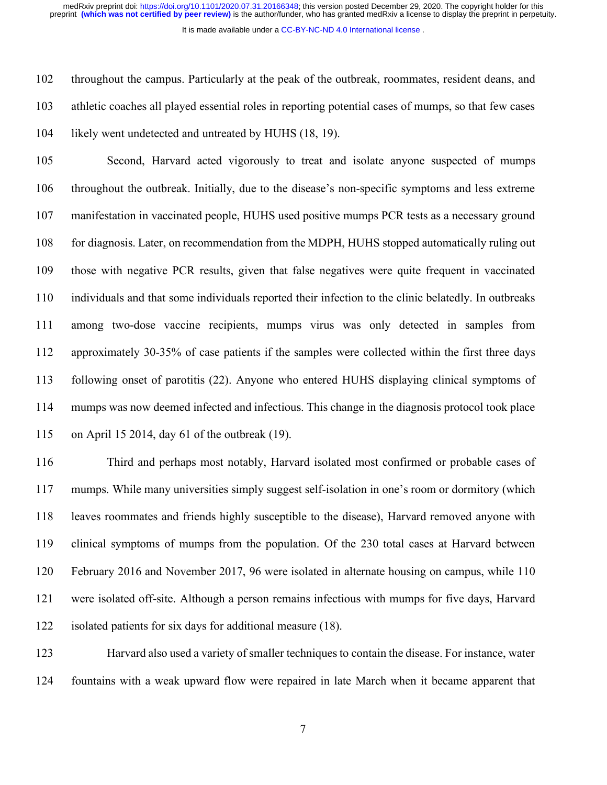It is made available under a [CC-BY-NC-ND 4.0 International license](http://creativecommons.org/licenses/by-nc-nd/4.0/) .

 throughout the campus. Particularly at the peak of the outbreak, roommates, resident deans, and athletic coaches all played essential roles in reporting potential cases of mumps, so that few cases likely went undetected and untreated by HUHS (18, 19).

 Second, Harvard acted vigorously to treat and isolate anyone suspected of mumps throughout the outbreak. Initially, due to the disease's non-specific symptoms and less extreme manifestation in vaccinated people, HUHS used positive mumps PCR tests as a necessary ground for diagnosis. Later, on recommendation from the MDPH, HUHS stopped automatically ruling out those with negative PCR results, given that false negatives were quite frequent in vaccinated individuals and that some individuals reported their infection to the clinic belatedly. In outbreaks among two-dose vaccine recipients, mumps virus was only detected in samples from approximately 30-35% of case patients if the samples were collected within the first three days following onset of parotitis (22). Anyone who entered HUHS displaying clinical symptoms of mumps was now deemed infected and infectious. This change in the diagnosis protocol took place on April 15 2014, day 61 of the outbreak (19).

 Third and perhaps most notably, Harvard isolated most confirmed or probable cases of mumps. While many universities simply suggest self-isolation in one's room or dormitory (which leaves roommates and friends highly susceptible to the disease), Harvard removed anyone with clinical symptoms of mumps from the population. Of the 230 total cases at Harvard between February 2016 and November 2017, 96 were isolated in alternate housing on campus, while 110 were isolated off-site. Although a person remains infectious with mumps for five days, Harvard isolated patients for six days for additional measure (18).

 Harvard also used a variety of smaller techniques to contain the disease. For instance, water fountains with a weak upward flow were repaired in late March when it became apparent that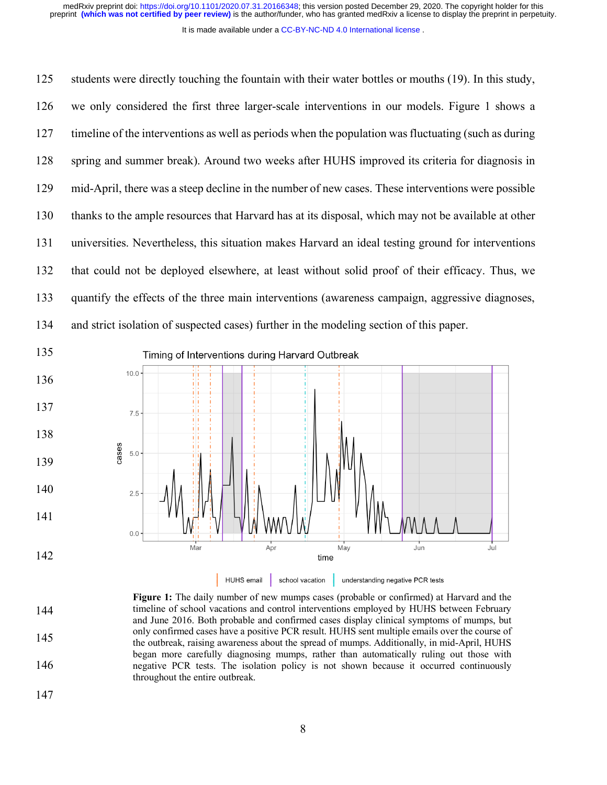It is made available under a [CC-BY-NC-ND 4.0 International license](http://creativecommons.org/licenses/by-nc-nd/4.0/) .

 students were directly touching the fountain with their water bottles or mouths (19). In this study, we only considered the first three larger-scale interventions in our models. Figure 1 shows a timeline of the interventions as well as periods when the population was fluctuating (such as during spring and summer break). Around two weeks after HUHS improved its criteria for diagnosis in mid-April, there was a steep decline in the number of new cases. These interventions were possible thanks to the ample resources that Harvard has at its disposal, which may not be available at other universities. Nevertheless, this situation makes Harvard an ideal testing ground for interventions that could not be deployed elsewhere, at least without solid proof of their efficacy. Thus, we quantify the effects of the three main interventions (awareness campaign, aggressive diagnoses, and strict isolation of suspected cases) further in the modeling section of this paper.



 **Figure 1:** The daily number of new mumps cases (probable or confirmed) at Harvard and the timeline of school vacations and control interventions employed by HUHS between February and June 2016. Both probable and confirmed cases display clinical symptoms of mumps, but only confirmed cases have a positive PCR result. HUHS sent multiple emails over the course of the outbreak, raising awareness about the spread of mumps. Additionally, in mid-April, HUHS began more carefully diagnosing mumps, rather than automatically ruling out those with negative PCR tests. The isolation policy is not shown because it occurred continuously throughout the entire outbreak.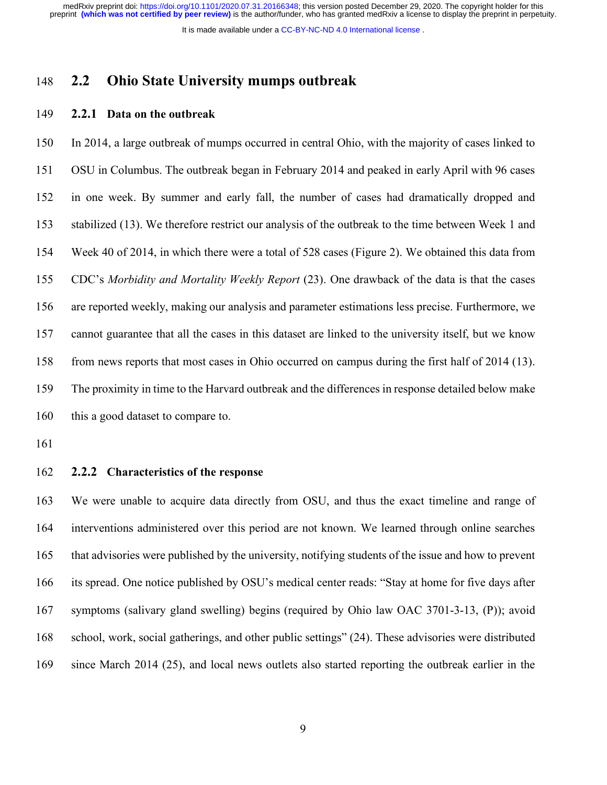It is made available under a [CC-BY-NC-ND 4.0 International license](http://creativecommons.org/licenses/by-nc-nd/4.0/) .

### **2.2 Ohio State University mumps outbreak**

#### **2.2.1 Data on the outbreak**

 In 2014, a large outbreak of mumps occurred in central Ohio, with the majority of cases linked to OSU in Columbus. The outbreak began in February 2014 and peaked in early April with 96 cases in one week. By summer and early fall, the number of cases had dramatically dropped and stabilized (13). We therefore restrict our analysis of the outbreak to the time between Week 1 and Week 40 of 2014, in which there were a total of 528 cases (Figure 2). We obtained this data from CDC's *Morbidity and Mortality Weekly Report* (23). One drawback of the data is that the cases are reported weekly, making our analysis and parameter estimations less precise. Furthermore, we cannot guarantee that all the cases in this dataset are linked to the university itself, but we know from news reports that most cases in Ohio occurred on campus during the first half of 2014 (13). The proximity in time to the Harvard outbreak and the differences in response detailed below make this a good dataset to compare to.

- 
- **2.2.2 Characteristics of the response**

 We were unable to acquire data directly from OSU, and thus the exact timeline and range of interventions administered over this period are not known. We learned through online searches that advisories were published by the university, notifying students of the issue and how to prevent its spread. One notice published by OSU's medical center reads: "Stay at home for five days after symptoms (salivary gland swelling) begins (required by Ohio law OAC 3701-3-13, (P)); avoid school, work, social gatherings, and other public settings" (24). These advisories were distributed 169 since March 2014 (25), and local news outlets also started reporting the outbreak earlier in the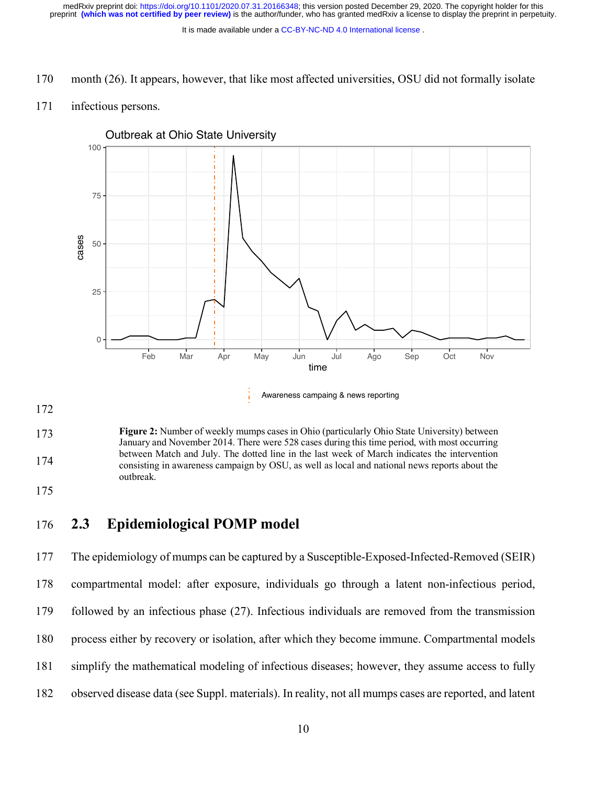It is made available under a [CC-BY-NC-ND 4.0 International license](http://creativecommons.org/licenses/by-nc-nd/4.0/) .

170 month (26). It appears, however, that like most affected universities, OSU did not formally isolate

#### 171 infectious persons.



Outbreak at Ohio State University

172

173 174 **Figure 2:** Number of weekly mumps cases in Ohio (particularly Ohio State University) between January and November 2014. There were 528 cases during this time period, with most occurring between Match and July. The dotted line in the last week of March indicates the intervention consisting in awareness campaign by OSU, as well as local and national news reports about the outbreak.

175

## 176 **2.3 Epidemiological POMP model**

 The epidemiology of mumps can be captured by a Susceptible-Exposed-Infected-Removed (SEIR) compartmental model: after exposure, individuals go through a latent non-infectious period, followed by an infectious phase (27). Infectious individuals are removed from the transmission process either by recovery or isolation, after which they become immune. Compartmental models simplify the mathematical modeling of infectious diseases; however, they assume access to fully observed disease data (see Suppl. materials). In reality, not all mumps cases are reported, and latent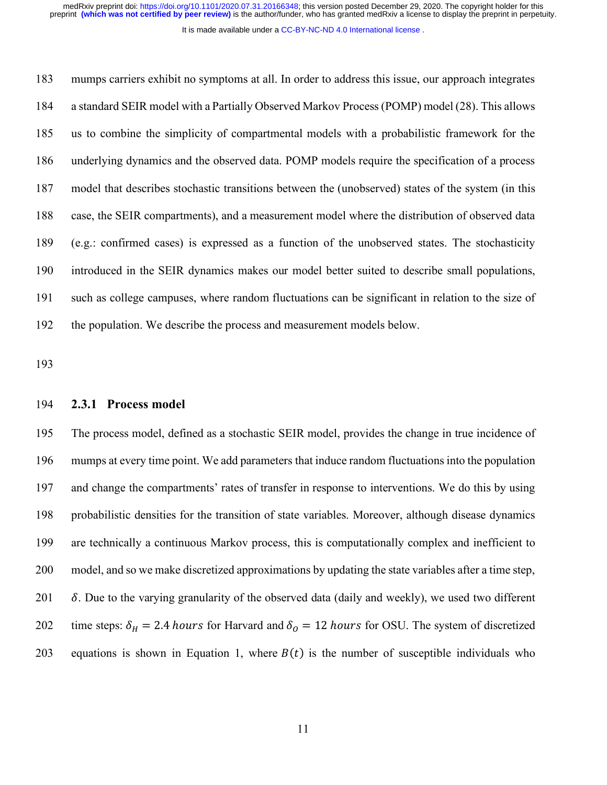It is made available under a [CC-BY-NC-ND 4.0 International license](http://creativecommons.org/licenses/by-nc-nd/4.0/) .

 mumps carriers exhibit no symptoms at all. In order to address this issue, our approach integrates a standard SEIR model with a Partially Observed Markov Process (POMP) model (28). This allows us to combine the simplicity of compartmental models with a probabilistic framework for the underlying dynamics and the observed data. POMP models require the specification of a process model that describes stochastic transitions between the (unobserved) states of the system (in this case, the SEIR compartments), and a measurement model where the distribution of observed data (e.g.: confirmed cases) is expressed as a function of the unobserved states. The stochasticity introduced in the SEIR dynamics makes our model better suited to describe small populations, such as college campuses, where random fluctuations can be significant in relation to the size of the population. We describe the process and measurement models below.

#### **2.3.1 Process model**

 The process model, defined as a stochastic SEIR model, provides the change in true incidence of mumps at every time point. We add parameters that induce random fluctuations into the population and change the compartments' rates of transfer in response to interventions. We do this by using probabilistic densities for the transition of state variables. Moreover, although disease dynamics are technically a continuous Markov process, this is computationally complex and inefficient to model, and so we make discretized approximations by updating the state variables after a time step,  $\delta$ . Due to the varying granularity of the observed data (daily and weekly), we used two different 202 time steps:  $\delta_H = 2.4$  hours for Harvard and  $\delta_Q = 12$  hours for OSU. The system of discretized 203 equations is shown in Equation 1, where  $B(t)$  is the number of susceptible individuals who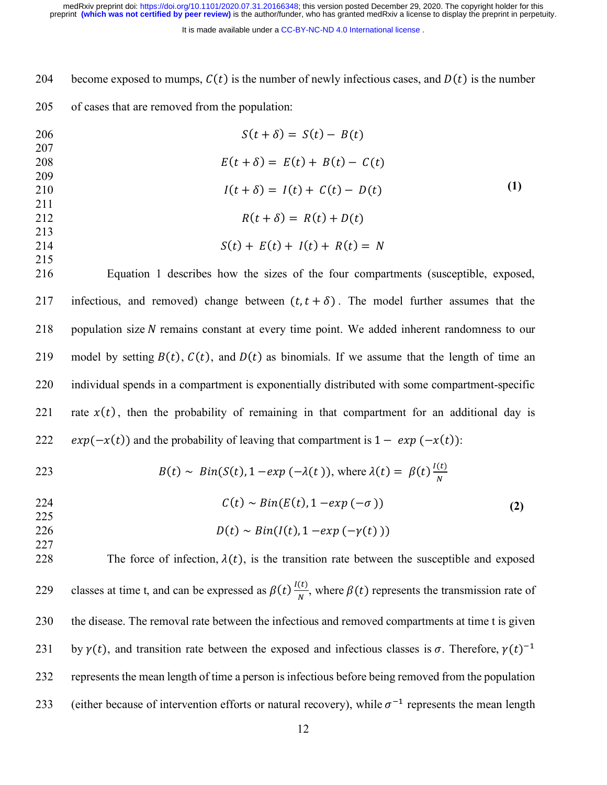It is made available under a [CC-BY-NC-ND 4.0 International license](http://creativecommons.org/licenses/by-nc-nd/4.0/) .

204 become exposed to mumps,  $C(t)$  is the number of newly infectious cases, and  $D(t)$  is the number

205 of cases that are removed from the population:

| 206 | $S(t+\delta) = S(t) - B(t)$          |     |
|-----|--------------------------------------|-----|
| 207 |                                      |     |
| 208 | $E(t + \delta) = E(t) + B(t) - C(t)$ |     |
| 209 |                                      |     |
| 210 | $I(t + \delta) = I(t) + C(t) - D(t)$ | (1) |
| 211 |                                      |     |
| 212 | $R(t + \delta) = R(t) + D(t)$        |     |
| 213 |                                      |     |
| 214 | $S(t) + E(t) + I(t) + R(t) = N$      |     |
| 215 |                                      |     |

216 Equation 1 describes how the sizes of the four compartments (susceptible, exposed, 217 infectious, and removed) change between  $(t, t + \delta)$ . The model further assumes that the 218 population size  $N$  remains constant at every time point. We added inherent randomness to our 219 model by setting  $B(t)$ ,  $C(t)$ , and  $D(t)$  as binomials. If we assume that the length of time an 220 individual spends in a compartment is exponentially distributed with some compartment-specific 221 rate  $x(t)$ , then the probability of remaining in that compartment for an additional day is 222  $exp(-x(t))$  and the probability of leaving that compartment is  $1 - exp(-x(t))$ :

223  
\n
$$
B(t) \sim Bin(S(t), 1 - exp(-\lambda(t)), \text{ where } \lambda(t) = \beta(t) \frac{I(t)}{N}
$$
\n224  
\n
$$
C(t) \sim Bin(E(t), 1 - exp(-\sigma))
$$
\n225  
\n226  
\n227  
\n227  
\n227  
\n229  
\n229  
\n221  
\n229  
\n23  
\n24  
\n26  
\n27  
\n28  
\n29  
\n20  
\n21  
\n22  
\n23  
\n24  
\n25  
\n26  
\n28  
\n29  
\n20  
\n21  
\n22  
\n23  
\n24  
\n25  
\n26  
\n28  
\n29  
\n20  
\n21  
\n22  
\n23  
\n24  
\n25  
\n26  
\n28  
\n29  
\n20  
\n21  
\n22  
\n23  
\n24  
\n25  
\n26  
\n28  
\n29  
\n20  
\n21  
\n22  
\n23  
\n24  
\n25  
\n26  
\n28  
\n29  
\n20  
\n21  
\n22  
\n23  
\n24  
\n25  
\n26  
\n28  
\n29  
\n20  
\n21  
\n22  
\n23  
\n24  
\n25  
\n26  
\n28  
\n29  
\n20  
\n21  
\n22  
\n23  
\n24  
\n25  
\n26  
\n28  
\n29  
\n20  
\n21  
\n22  
\n23  
\n24  
\n25  
\n26  
\n28  
\n29  
\n20  
\n21  
\n22  
\n23  
\n24  
\n25  
\n26  
\n28  
\n29  
\n20  
\n21  
\n22  
\n23  
\n24  
\n25  
\n26  
\n28  
\n29  
\n20  
\n21  
\n22  
\n23  
\n24  
\n25  
\n26  
\n28  
\n29  
\n20  
\n21  
\n22  
\n23  
\n24  
\n25  
\n26  
\n28  
\n29  
\n20  
\n21

228 The force of infection,  $\lambda(t)$ , is the transition rate between the susceptible and exposed 229 classes at time t, and can be expressed as  $\beta(t) \frac{I(t)}{N}$ , where  $\beta(t)$  represents the transmission rate of 230 the disease. The removal rate between the infectious and removed compartments at time t is given 231 by  $\gamma(t)$ , and transition rate between the exposed and infectious classes is  $\sigma$ . Therefore,  $\gamma(t)^{-1}$ 232 represents the mean length of time a person isinfectious before being removed from the population 233 (either because of intervention efforts or natural recovery), while  $\sigma^{-1}$  represents the mean length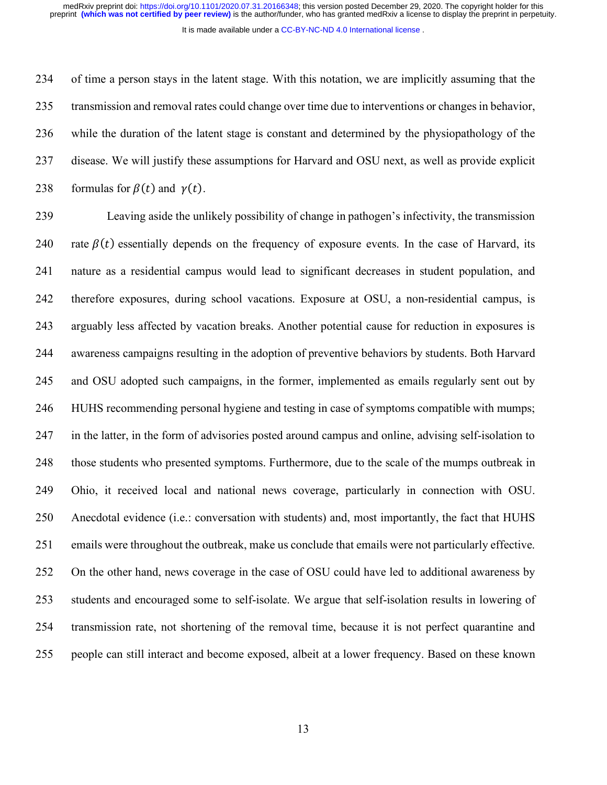of time a person stays in the latent stage. With this notation, we are implicitly assuming that the transmission and removal rates could change over time due to interventions or changes in behavior, while the duration of the latent stage is constant and determined by the physiopathology of the disease. We will justify these assumptions for Harvard and OSU next, as well as provide explicit 238 formulas for  $\beta(t)$  and  $\gamma(t)$ .

 Leaving aside the unlikely possibility of change in pathogen's infectivity, the transmission 240 rate  $\beta(t)$  essentially depends on the frequency of exposure events. In the case of Harvard, its nature as a residential campus would lead to significant decreases in student population, and therefore exposures, during school vacations. Exposure at OSU, a non-residential campus, is arguably less affected by vacation breaks. Another potential cause for reduction in exposures is awareness campaigns resulting in the adoption of preventive behaviors by students. Both Harvard and OSU adopted such campaigns, in the former, implemented as emails regularly sent out by HUHS recommending personal hygiene and testing in case of symptoms compatible with mumps; in the latter, in the form of advisories posted around campus and online, advising self-isolation to those students who presented symptoms. Furthermore, due to the scale of the mumps outbreak in Ohio, it received local and national news coverage, particularly in connection with OSU. Anecdotal evidence (i.e.: conversation with students) and, most importantly, the fact that HUHS emails were throughout the outbreak, make us conclude that emails were not particularly effective. On the other hand, news coverage in the case of OSU could have led to additional awareness by students and encouraged some to self-isolate. We argue that self-isolation results in lowering of transmission rate, not shortening of the removal time, because it is not perfect quarantine and people can still interact and become exposed, albeit at a lower frequency. Based on these known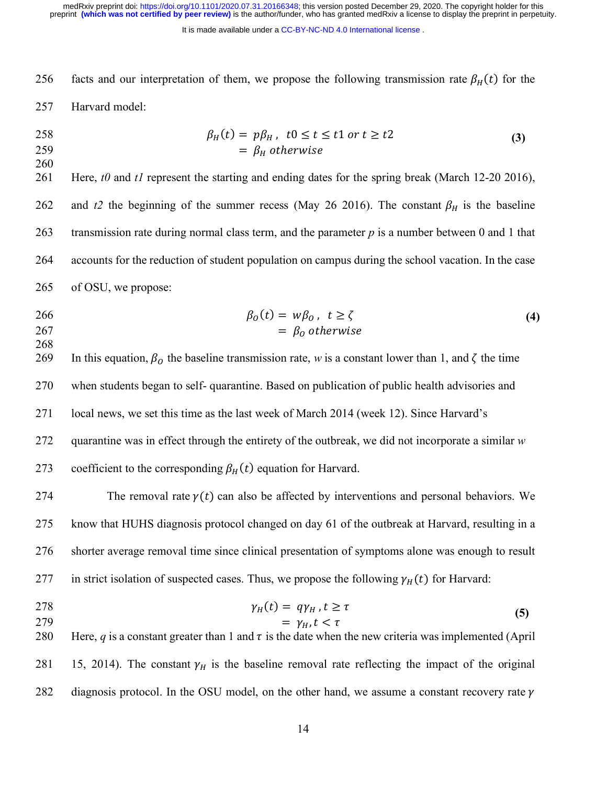It is made available under a CC-BY-NC-ND 4.0 International license.

256 facts and our interpretation of them, we propose the following transmission rate  $\beta_H(t)$  for the 257 Harvard model:

$$
\begin{aligned}\n258 & \beta_H(t) = p\beta_H, \quad t0 \le t \le t1 \text{ or } t \ge t2 \\
& = \beta_H \text{ otherwise}\n\end{aligned}\n\tag{3}
$$

260 261 Here, *t0* and *t1* represent the starting and ending dates for the spring break (March 12-20 2016), 262 and t2 the beginning of the summer recess (May 26 2016). The constant  $\beta_H$  is the baseline 263 transmission rate during normal class term, and the parameter *p* is a number between 0 and 1 that

264 accounts for the reduction of student population on campus during the school vacation. In the case

- 265 of OSU, we propose:
- 266  $\beta_0(t) = w\beta_0, t \ge \zeta$  $267 = \beta_0$  otherwise **(4)**
- 268

269 In this equation,  $\beta_0$  the baseline transmission rate, *w* is a constant lower than 1, and  $\zeta$  the time 270 when students began to self- quarantine. Based on publication of public health advisories and 271 local news, we set this time as the last week of March 2014 (week 12). Since Harvard's 272 quarantine was in effect through the entirety of the outbreak, we did not incorporate a similar *w* 273 coefficient to the corresponding  $\beta_H(t)$  equation for Harvard.

274 The removal rate  $\gamma(t)$  can also be affected by interventions and personal behaviors. We 275 know that HUHS diagnosis protocol changed on day 61 of the outbreak at Harvard, resulting in a 276 shorter average removal time since clinical presentation of symptoms alone was enough to result 277 in strict isolation of suspected cases. Thus, we propose the following  $\gamma_H(t)$  for Harvard:

- 
- 278  $\gamma_H(t) = q \gamma_H, t \ge \tau$ 279  $= \gamma_H, t < \tau$ **(5)**

280 Here, *q* is a constant greater than 1 and  $\tau$  is the date when the new criteria was implemented (April 281 15, 2014). The constant  $\gamma_H$  is the baseline removal rate reflecting the impact of the original 282 diagnosis protocol. In the OSU model, on the other hand, we assume a constant recovery rate  $\gamma$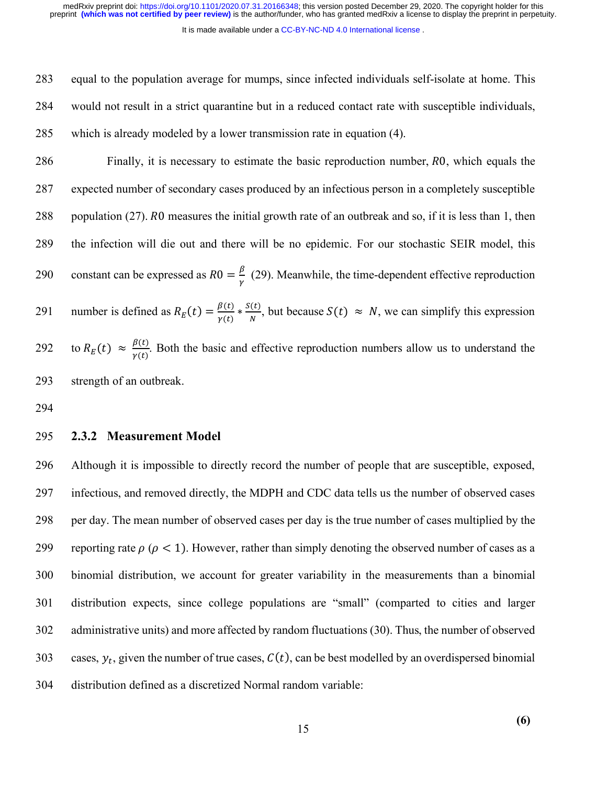It is made available under a [CC-BY-NC-ND 4.0 International license](http://creativecommons.org/licenses/by-nc-nd/4.0/) .

283 equal to the population average for mumps, since infected individuals self-isolate at home. This

284 would not result in a strict quarantine but in a reduced contact rate with susceptible individuals,

285 which is already modeled by a lower transmission rate in equation (4).

286 Finally, it is necessary to estimate the basic reproduction number, RO, which equals the 287 expected number of secondary cases produced by an infectious person in a completely susceptible 288 population (27). R0 measures the initial growth rate of an outbreak and so, if it is less than 1, then 289 the infection will die out and there will be no epidemic. For our stochastic SEIR model, this 290 constant can be expressed as  $R0 = \frac{\beta}{\gamma}$  (29). Meanwhile, the time-dependent effective reproduction 291 number is defined as  $R_E(t) = \frac{\beta(t)}{\gamma(t)} * \frac{S(t)}{N}$ , but because  $S(t) \approx N$ , we can simplify this expression 292 to  $R_E(t) \approx \frac{\beta(t)}{\gamma(t)}$ . Both the basic and effective reproduction numbers allow us to understand the 293 strength of an outbreak.

294

### 295 **2.3.2 Measurement Model**

 Although it is impossible to directly record the number of people that are susceptible, exposed, infectious, and removed directly, the MDPH and CDC data tells us the number of observed cases per day. The mean number of observed cases per day is the true number of cases multiplied by the 299 reporting rate  $\rho$  ( $\rho$  < 1). However, rather than simply denoting the observed number of cases as a binomial distribution, we account for greater variability in the measurements than a binomial distribution expects, since college populations are "small" (comparted to cities and larger administrative units) and more affected by random fluctuations (30). Thus, the number of observed 303 cases,  $y_t$ , given the number of true cases,  $C(t)$ , can be best modelled by an overdispersed binomial distribution defined as a discretized Normal random variable:

**(6)**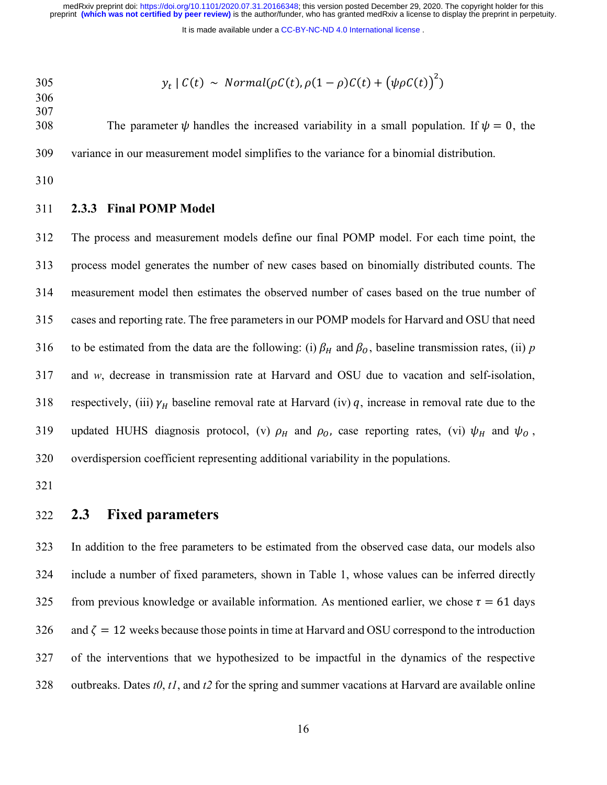It is made available under a CC-BY-NC-ND 4.0 International license.

305 
$$
y_t \mid C(t) \sim Normal(\rho C(t), \rho (1 - \rho) C(t) + (\psi \rho C(t))^2)
$$

 

308 The parameter  $\psi$  handles the increased variability in a small population. If  $\psi = 0$ , the variance in our measurement model simplifies to the variance for a binomial distribution.

#### **2.3.3 Final POMP Model**

 The process and measurement models define our final POMP model. For each time point, the process model generates the number of new cases based on binomially distributed counts. The measurement model then estimates the observed number of cases based on the true number of cases and reporting rate. The free parameters in our POMP models for Harvard and OSU that need 316 to be estimated from the data are the following: (i)  $\beta_H$  and  $\beta_O$ , baseline transmission rates, (ii) *p*  and *w*, decrease in transmission rate at Harvard and OSU due to vacation and self-isolation, 318 respectively, (iii)  $\gamma_H$  baseline removal rate at Harvard (iv) q, increase in removal rate due to the 319 updated HUHS diagnosis protocol, (v)  $\rho_H$  and  $\rho_O$ , case reporting rates, (vi)  $\psi_H$  and  $\psi_O$ , overdispersion coefficient representing additional variability in the populations.

### **2.3 Fixed parameters**

 In addition to the free parameters to be estimated from the observed case data, our models also include a number of fixed parameters, shown in Table 1, whose values can be inferred directly 325 from previous knowledge or available information. As mentioned earlier, we chose  $\tau = 61$  days 326 and  $\zeta = 12$  weeks because those points in time at Harvard and OSU correspond to the introduction of the interventions that we hypothesized to be impactful in the dynamics of the respective outbreaks. Dates *t0*, *t1*, and *t2* for the spring and summer vacations at Harvard are available online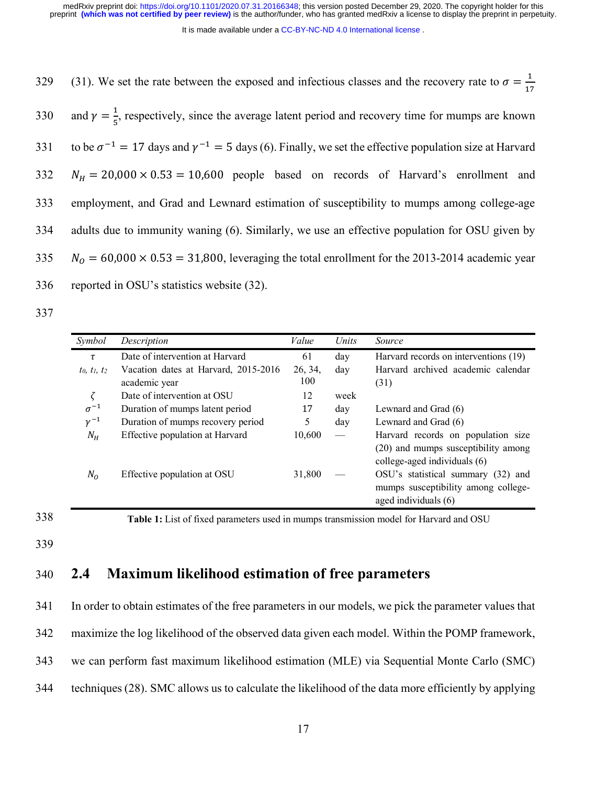It is made available under a [CC-BY-NC-ND 4.0 International license](http://creativecommons.org/licenses/by-nc-nd/4.0/) .

329 (31). We set the rate between the exposed and infectious classes and the recovery rate to  $\sigma = \frac{1}{17}$ 330 and  $\gamma = \frac{1}{5}$ , respectively, since the average latent period and recovery time for mumps are known 331 to be  $\sigma^{-1} = 17$  days and  $\gamma^{-1} = 5$  days (6). Finally, we set the effective population size at Harvard  $332 \t N_H = 20,000 \times 0.53 = 10,600$  people based on records of Harvard's enrollment and 333 employment, and Grad and Lewnard estimation of susceptibility to mumps among college-age 334 adults due to immunity waning (6). Similarly, we use an effective population for OSU given by  $335$   $N<sub>0</sub> = 60,000 \times 0.53 = 31,800$ , leveraging the total enrollment for the 2013-2014 academic year 336 reported in OSU's statistics website (32).

337

| Symbol          | Description                                           | Value          | Units           | Source                                                                                                    |
|-----------------|-------------------------------------------------------|----------------|-----------------|-----------------------------------------------------------------------------------------------------------|
| τ               | Date of intervention at Harvard                       | 61             | day             | Harvard records on interventions (19)                                                                     |
| $t_0, t_1, t_2$ | Vacation dates at Harvard, 2015-2016<br>academic year | 26, 34,<br>100 | day             | Harvard archived academic calendar<br>(31)                                                                |
|                 | Date of intervention at OSU                           | 12             | week            |                                                                                                           |
| $\sigma^{-1}$   | Duration of mumps latent period                       | 17             | day             | Lewnard and Grad (6)                                                                                      |
| $\gamma^{-1}$   | Duration of mumps recovery period                     | 5              | day             | Lewnard and Grad (6)                                                                                      |
| $N_H$           | Effective population at Harvard                       | 10,600         | $\qquad \qquad$ | Harvard records on population size<br>(20) and mumps susceptibility among<br>college-aged individuals (6) |
| $N_O$           | Effective population at OSU                           | 31,800         |                 | OSU's statistical summary (32) and<br>mumps susceptibility among college-<br>aged individuals (6)         |

338

**Table 1:** List of fixed parameters used in mumps transmission model for Harvard and OSU

339

## 340 **2.4 Maximum likelihood estimation of free parameters**

 In order to obtain estimates of the free parameters in our models, we pick the parameter values that maximize the log likelihood of the observed data given each model. Within the POMP framework, we can perform fast maximum likelihood estimation (MLE) via Sequential Monte Carlo (SMC) techniques (28). SMC allows us to calculate the likelihood of the data more efficiently by applying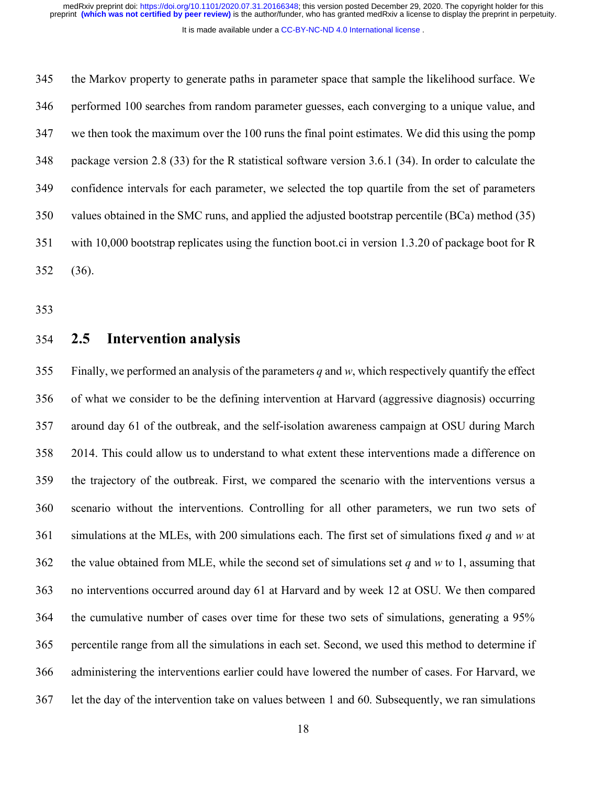It is made available under a [CC-BY-NC-ND 4.0 International license](http://creativecommons.org/licenses/by-nc-nd/4.0/) .

 the Markov property to generate paths in parameter space that sample the likelihood surface. We performed 100 searches from random parameter guesses, each converging to a unique value, and we then took the maximum over the 100 runs the final point estimates. We did this using the pomp package version 2.8 (33) for the R statistical software version 3.6.1 (34). In order to calculate the confidence intervals for each parameter, we selected the top quartile from the set of parameters values obtained in the SMC runs, and applied the adjusted bootstrap percentile (BCa) method (35) with 10,000 bootstrap replicates using the function boot.ci in version 1.3.20 of package boot for R (36).

### **2.5 Intervention analysis**

 Finally, we performed an analysis of the parameters *q* and *w*, which respectively quantify the effect of what we consider to be the defining intervention at Harvard (aggressive diagnosis) occurring around day 61 of the outbreak, and the self-isolation awareness campaign at OSU during March 2014. This could allow us to understand to what extent these interventions made a difference on the trajectory of the outbreak. First, we compared the scenario with the interventions versus a scenario without the interventions. Controlling for all other parameters, we run two sets of simulations at the MLEs, with 200 simulations each. The first set of simulations fixed *q* and *w* at the value obtained from MLE, while the second set of simulations set *q* and *w* to 1, assuming that no interventions occurred around day 61 at Harvard and by week 12 at OSU. We then compared the cumulative number of cases over time for these two sets of simulations, generating a 95% percentile range from all the simulations in each set. Second, we used this method to determine if administering the interventions earlier could have lowered the number of cases. For Harvard, we let the day of the intervention take on values between 1 and 60. Subsequently, we ran simulations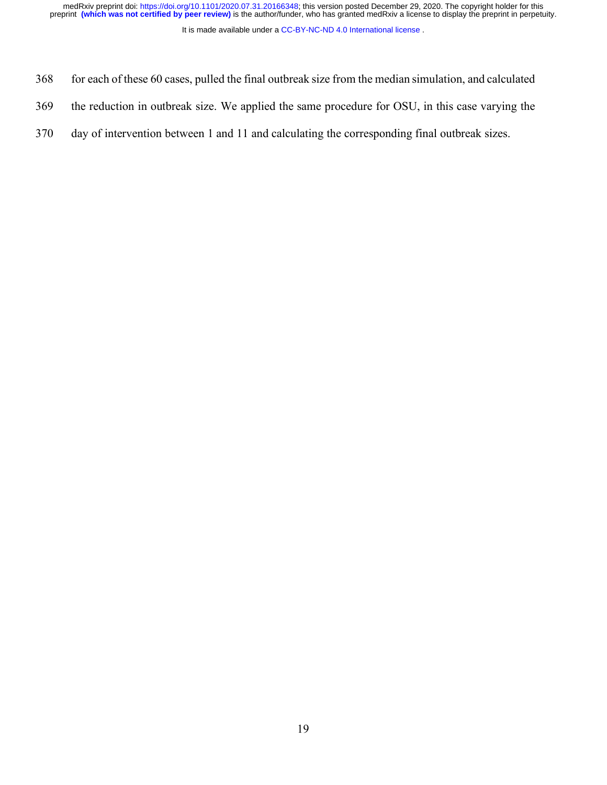medRxiv preprint doi: [https://doi.org/10.1101/2020.07.31.20166348;](https://doi.org/10.1101/2020.07.31.20166348) this version posted December 29, 2020. The copyright holder for this<br>preprint (which was not certified by peer review) is the author/funder, who has grante

It is made available under a CC-BY-NC-ND 4.0 International license.

- for each of these 60 cases, pulled the final outbreak size from the median simulation, and calculated
- the reduction in outbreak size. We applied the same procedure for OSU, in this case varying the
- day of intervention between 1 and 11 and calculating the corresponding final outbreak sizes.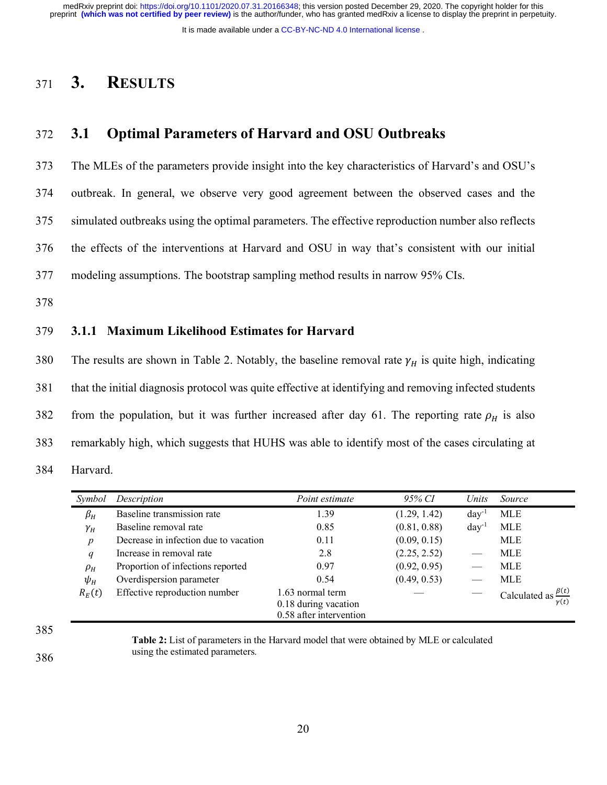It is made available under a [CC-BY-NC-ND 4.0 International license](http://creativecommons.org/licenses/by-nc-nd/4.0/) .

## <sup>371</sup> **3. RESULTS**

## 372 **3.1 Optimal Parameters of Harvard and OSU Outbreaks**

373 The MLEs of the parameters provide insight into the key characteristics of Harvard's and OSU's

374 outbreak. In general, we observe very good agreement between the observed cases and the

375 simulated outbreaks using the optimal parameters. The effective reproduction number also reflects

376 the effects of the interventions at Harvard and OSU in way that's consistent with our initial

377 modeling assumptions. The bootstrap sampling method results in narrow 95% CIs.

378

### 379 **3.1.1 Maximum Likelihood Estimates for Harvard**

380 The results are shown in Table 2. Notably, the baseline removal rate  $\gamma_H$  is quite high, indicating 381 that the initial diagnosis protocol was quite effective at identifying and removing infected students 382 from the population, but it was further increased after day 61. The reporting rate  $\rho_H$  is also 383 remarkably high, which suggests that HUHS was able to identify most of the cases circulating at 384 Harvard.

| Symbol           | Description                           | Point estimate                                                      | 95% CI       | Units      | Source        |
|------------------|---------------------------------------|---------------------------------------------------------------------|--------------|------------|---------------|
| $\beta_H$        | Baseline transmission rate            | 1.39                                                                | (1.29, 1.42) | $day^{-1}$ | <b>MLE</b>    |
| $\gamma_H$       | Baseline removal rate                 | 0.85                                                                | (0.81, 0.88) | $day^{-1}$ | <b>MLE</b>    |
| $\boldsymbol{p}$ | Decrease in infection due to vacation | 0.11                                                                | (0.09, 0.15) |            | <b>MLE</b>    |
| q                | Increase in removal rate              | 2.8                                                                 | (2.25, 2.52) |            | <b>MLE</b>    |
| $\rho_H$         | Proportion of infections reported     | 0.97                                                                | (0.92, 0.95) |            | MLE           |
| $\psi_H$         | Overdispersion parameter              | 0.54                                                                | (0.49, 0.53) |            | MLE           |
| $R_E(t)$         | Effective reproduction number         | 1.63 normal term<br>0.18 during vacation<br>0.58 after intervention |              |            | Calculated as |

385

386

**Table 2:** List of parameters in the Harvard model that were obtained by MLE or calculated using the estimated parameters.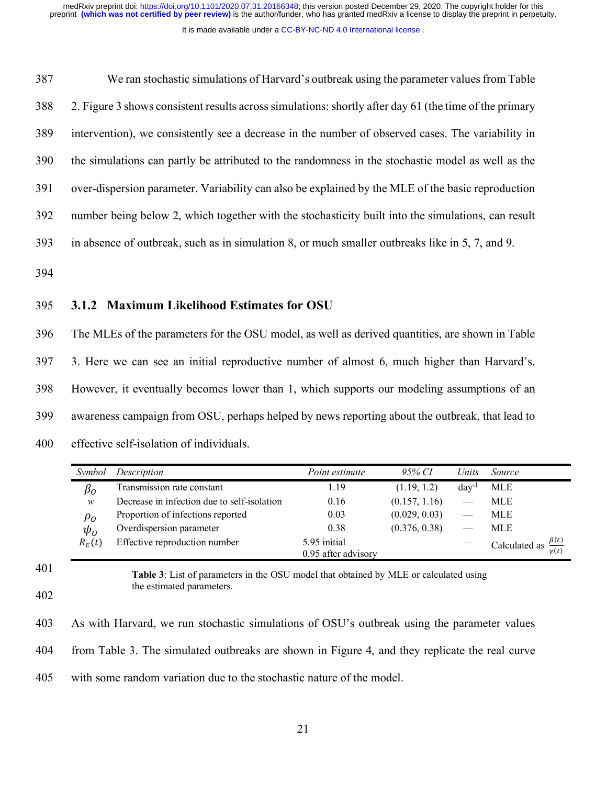It is made available under a [CC-BY-NC-ND 4.0 International license](http://creativecommons.org/licenses/by-nc-nd/4.0/) .

 We ran stochastic simulations of Harvard's outbreak using the parameter values from Table 2. Figure 3 shows consistent results across simulations: shortly after day 61 (the time of the primary intervention), we consistently see a decrease in the number of observed cases. The variability in the simulations can partly be attributed to the randomness in the stochastic model as well as the over-dispersion parameter. Variability can also be explained by the MLE of the basic reproduction number being below 2, which together with the stochasticity built into the simulations, can result in absence of outbreak, such as in simulation 8, or much smaller outbreaks like in 5, 7, and 9.

394

### 395 **3.1.2 Maximum Likelihood Estimates for OSU**

 The MLEs of the parameters for the OSU model, as well as derived quantities, are shown in Table 3. Here we can see an initial reproductive number of almost 6, much higher than Harvard's. However, it eventually becomes lower than 1, which supports our modeling assumptions of an awareness campaign from OSU, perhaps helped by news reporting about the outbreak, that lead to effective self-isolation of individuals.

| Symbol                        | Description                                 | Point estimate                      | 95% CI        | Units      | <i>Source</i>                                        |
|-------------------------------|---------------------------------------------|-------------------------------------|---------------|------------|------------------------------------------------------|
| $\beta_o$                     | Transmission rate constant                  | 1.19                                | (1.19, 1.2)   | $day^{-1}$ | <b>MLE</b>                                           |
| $\mathcal W$                  | Decrease in infection due to self-isolation | 0.16                                | (0.157, 1.16) |            | MLE                                                  |
| $\rho_{\scriptscriptstyle O}$ | Proportion of infections reported           | 0.03                                | (0.029, 0.03) |            | MLE                                                  |
| $\psi_o$                      | Overdispersion parameter                    | 0.38                                | (0.376, 0.38) |            | MLE                                                  |
| $R_F(t)$                      | Effective reproduction number               | 5.95 initial<br>0.95 after advisory |               |            | $\frac{\beta(t)}{t}$<br>Calculated as<br>$\gamma(t)$ |

401

**Table 3**: List of parameters in the OSU model that obtained by MLE or calculated using the estimated parameters.

| 403 | As with Harvard, we run stochastic simulations of OSU's outbreak using the parameter values    |
|-----|------------------------------------------------------------------------------------------------|
| 404 | from Table 3. The simulated outbreaks are shown in Figure 4, and they replicate the real curve |
| 405 | with some random variation due to the stochastic nature of the model.                          |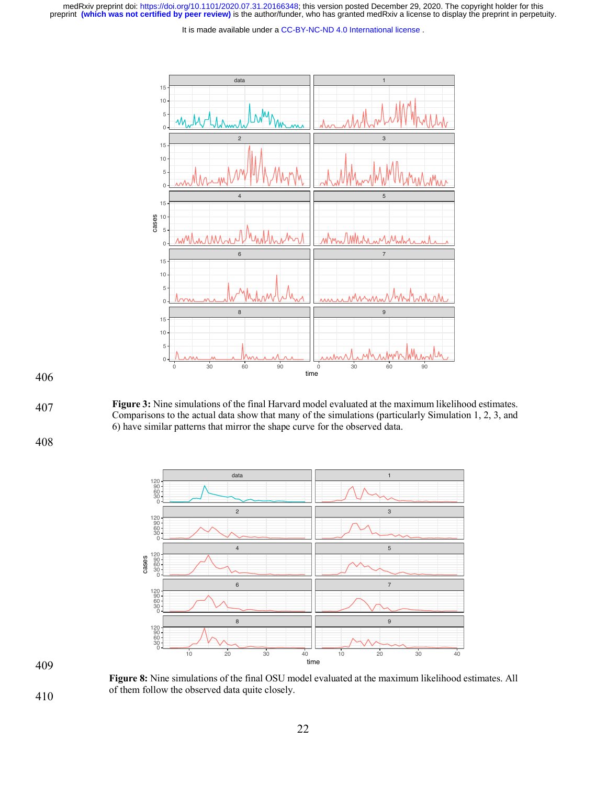medRxiv preprint doi: [https://doi.org/10.1101/2020.07.31.20166348;](https://doi.org/10.1101/2020.07.31.20166348) this version posted December 29, 2020. The copyright holder for this<br>preprint (which was not certified by peer review) is the author/funder, who has grante

It is made available under a [CC-BY-NC-ND 4.0 International license](http://creativecommons.org/licenses/by-nc-nd/4.0/) .



**Figure 3:** Nine simulations of the final Harvard model evaluated at the maximum likelihood estimates. Comparisons to the actual data show that many of the simulations (particularly Simulation 1, 2, 3, and 6) have similar patterns that mirror the shape curve for the observed data.



**Figure 8:** Nine simulations of the final OSU model evaluated at the maximum likelihood estimates. All of them follow the observed data quite closely.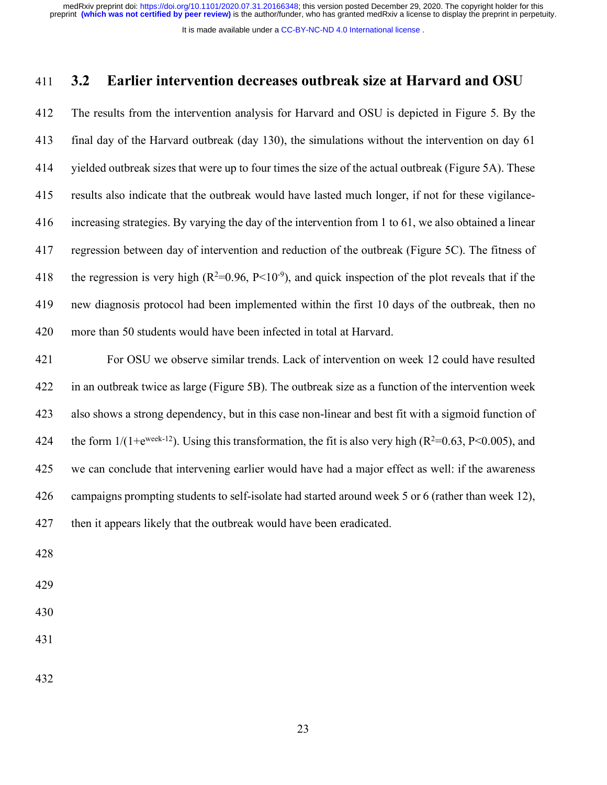It is made available under a [CC-BY-NC-ND 4.0 International license](http://creativecommons.org/licenses/by-nc-nd/4.0/) .

### **3.2 Earlier intervention decreases outbreak size at Harvard and OSU**

 The results from the intervention analysis for Harvard and OSU is depicted in Figure 5. By the final day of the Harvard outbreak (day 130), the simulations without the intervention on day 61 yielded outbreak sizes that were up to four times the size of the actual outbreak (Figure 5A). These results also indicate that the outbreak would have lasted much longer, if not for these vigilance- increasing strategies. By varying the day of the intervention from 1 to 61, we also obtained a linear regression between day of intervention and reduction of the outbreak (Figure 5C). The fitness of 418 the regression is very high  $(R^2=0.96, P<10^{-9})$ , and quick inspection of the plot reveals that if the new diagnosis protocol had been implemented within the first 10 days of the outbreak, then no more than 50 students would have been infected in total at Harvard.

 For OSU we observe similar trends. Lack of intervention on week 12 could have resulted in an outbreak twice as large (Figure 5B). The outbreak size as a function of the intervention week also shows a strong dependency, but in this case non-linear and best fit with a sigmoid function of 424 the form  $1/(1+e^{week-12})$ . Using this transformation, the fit is also very high  $(R^2=0.63, P<0.005)$ , and we can conclude that intervening earlier would have had a major effect as well: if the awareness campaigns prompting students to self-isolate had started around week 5 or 6 (rather than week 12), then it appears likely that the outbreak would have been eradicated.

- 
- 
-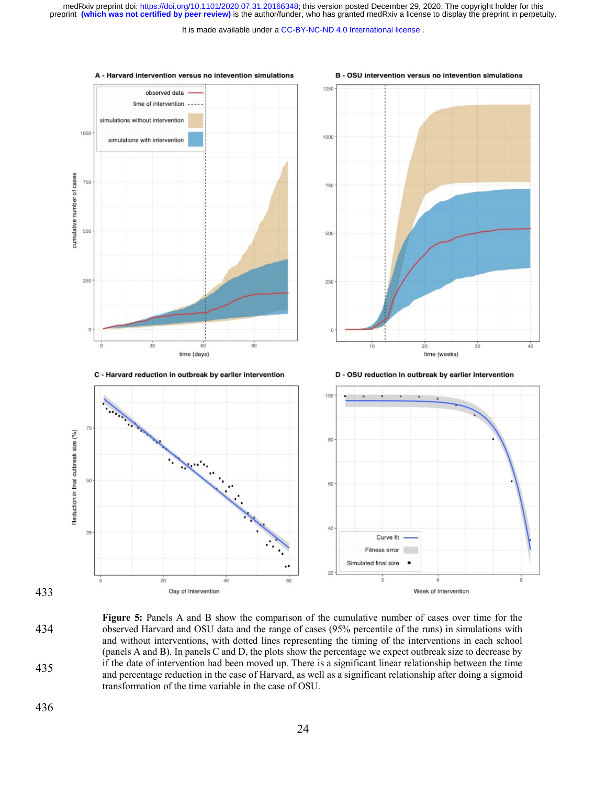It is made available under a CC-BY-NC-ND 4.0 International license.



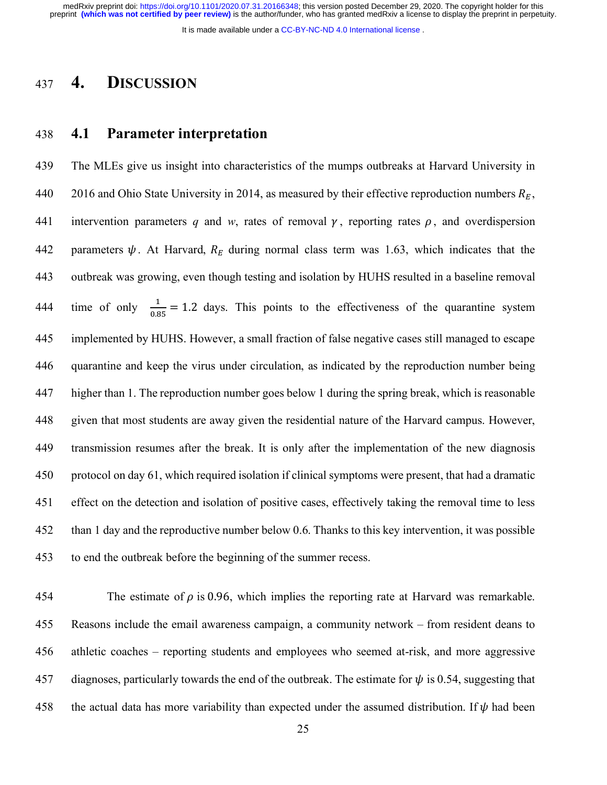It is made available under a [CC-BY-NC-ND 4.0 International license](http://creativecommons.org/licenses/by-nc-nd/4.0/) .

## **4. DISCUSSION**

### **4.1 Parameter interpretation**

 The MLEs give us insight into characteristics of the mumps outbreaks at Harvard University in 440 2016 and Ohio State University in 2014, as measured by their effective reproduction numbers  $R_E$ , 441 intervention parameters q and w, rates of removal  $\gamma$ , reporting rates  $\rho$ , and overdispersion 442 parameters  $\psi$ . At Harvard,  $R_E$  during normal class term was 1.63, which indicates that the outbreak was growing, even though testing and isolation by HUHS resulted in a baseline removal 444 time of only  $\frac{1}{0.85} = 1.2$  days. This points to the effectiveness of the quarantine system implemented by HUHS. However, a small fraction of false negative cases still managed to escape quarantine and keep the virus under circulation, as indicated by the reproduction number being higher than 1. The reproduction number goes below 1 during the spring break, which is reasonable given that most students are away given the residential nature of the Harvard campus. However, transmission resumes after the break. It is only after the implementation of the new diagnosis protocol on day 61, which required isolation if clinical symptoms were present, that had a dramatic effect on the detection and isolation of positive cases, effectively taking the removal time to less than 1 day and the reproductive number below 0.6. Thanks to this key intervention, it was possible to end the outbreak before the beginning of the summer recess.

454 The estimate of  $\rho$  is 0.96, which implies the reporting rate at Harvard was remarkable. Reasons include the email awareness campaign, a community network – from resident deans to athletic coaches – reporting students and employees who seemed at-risk, and more aggressive 457 diagnoses, particularly towards the end of the outbreak. The estimate for  $\psi$  is 0.54, suggesting that 458 the actual data has more variability than expected under the assumed distribution. If  $\psi$  had been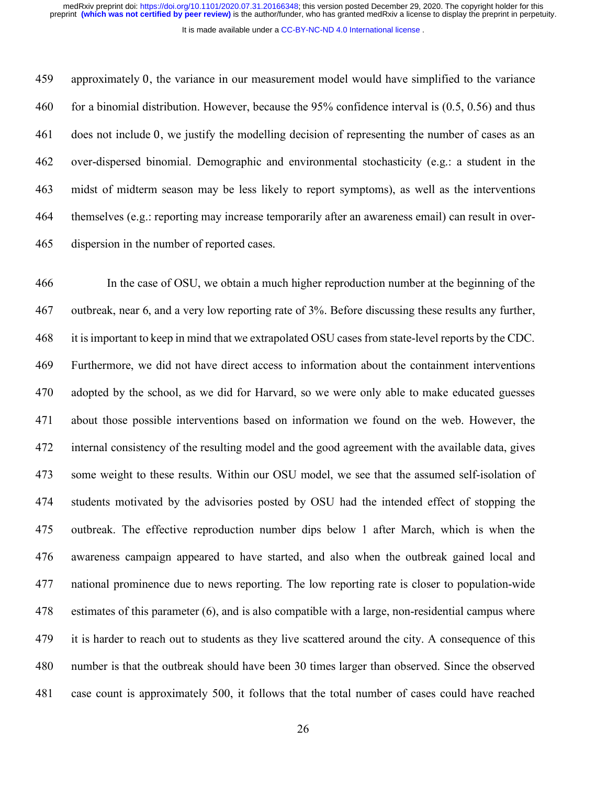It is made available under a [CC-BY-NC-ND 4.0 International license](http://creativecommons.org/licenses/by-nc-nd/4.0/) .

 approximately 0, the variance in our measurement model would have simplified to the variance for a binomial distribution. However, because the 95% confidence interval is (0.5, 0.56) and thus does not include 0, we justify the modelling decision of representing the number of cases as an over-dispersed binomial. Demographic and environmental stochasticity (e.g.: a student in the midst of midterm season may be less likely to report symptoms), as well as the interventions themselves (e.g.: reporting may increase temporarily after an awareness email) can result in over-dispersion in the number of reported cases.

 In the case of OSU, we obtain a much higher reproduction number at the beginning of the outbreak, near 6, and a very low reporting rate of 3%. Before discussing these results any further, it is important to keep in mind that we extrapolated OSU cases from state-level reports by the CDC. Furthermore, we did not have direct access to information about the containment interventions adopted by the school, as we did for Harvard, so we were only able to make educated guesses about those possible interventions based on information we found on the web. However, the internal consistency of the resulting model and the good agreement with the available data, gives some weight to these results. Within our OSU model, we see that the assumed self-isolation of students motivated by the advisories posted by OSU had the intended effect of stopping the outbreak. The effective reproduction number dips below 1 after March, which is when the awareness campaign appeared to have started, and also when the outbreak gained local and national prominence due to news reporting. The low reporting rate is closer to population-wide estimates of this parameter (6), and is also compatible with a large, non-residential campus where it is harder to reach out to students as they live scattered around the city. A consequence of this number is that the outbreak should have been 30 times larger than observed. Since the observed case count is approximately 500, it follows that the total number of cases could have reached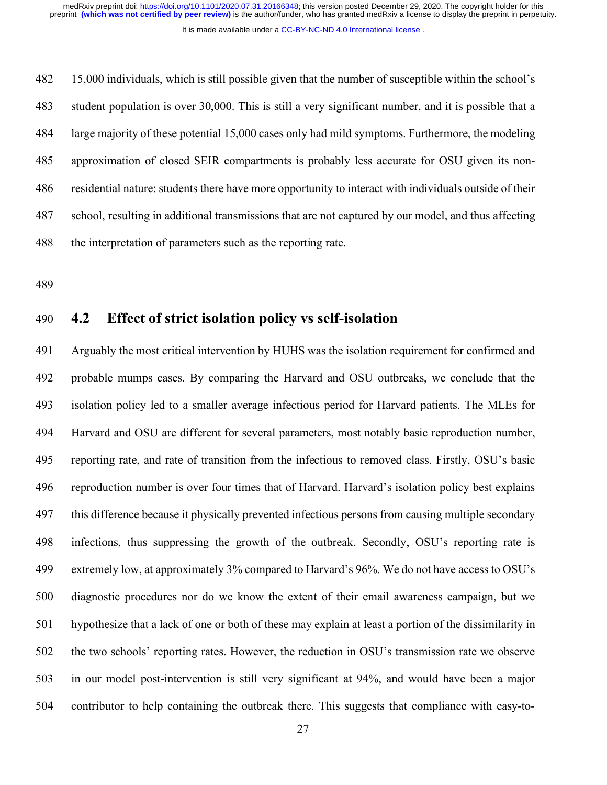It is made available under a [CC-BY-NC-ND 4.0 International license](http://creativecommons.org/licenses/by-nc-nd/4.0/) .

 15,000 individuals, which is still possible given that the number of susceptible within the school's student population is over 30,000. This is still a very significant number, and it is possible that a large majority of these potential 15,000 cases only had mild symptoms. Furthermore, the modeling approximation of closed SEIR compartments is probably less accurate for OSU given its non- residential nature: students there have more opportunity to interact with individuals outside of their school, resulting in additional transmissions that are not captured by our model, and thus affecting the interpretation of parameters such as the reporting rate.

## **4.2 Effect of strict isolation policy vs self-isolation**

 Arguably the most critical intervention by HUHS was the isolation requirement for confirmed and probable mumps cases. By comparing the Harvard and OSU outbreaks, we conclude that the isolation policy led to a smaller average infectious period for Harvard patients. The MLEs for Harvard and OSU are different for several parameters, most notably basic reproduction number, reporting rate, and rate of transition from the infectious to removed class. Firstly, OSU's basic reproduction number is over four times that of Harvard. Harvard's isolation policy best explains this difference because it physically prevented infectious persons from causing multiple secondary infections, thus suppressing the growth of the outbreak. Secondly, OSU's reporting rate is extremely low, at approximately 3% compared to Harvard's 96%. We do not have access to OSU's diagnostic procedures nor do we know the extent of their email awareness campaign, but we hypothesize that a lack of one or both of these may explain at least a portion of the dissimilarity in the two schools' reporting rates. However, the reduction in OSU's transmission rate we observe in our model post-intervention is still very significant at 94%, and would have been a major contributor to help containing the outbreak there. This suggests that compliance with easy-to-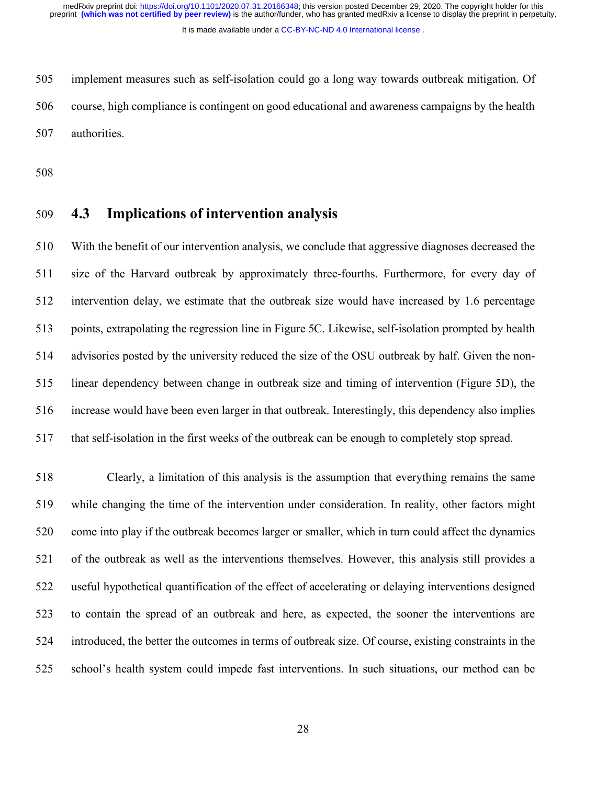It is made available under a [CC-BY-NC-ND 4.0 International license](http://creativecommons.org/licenses/by-nc-nd/4.0/) .

 implement measures such as self-isolation could go a long way towards outbreak mitigation. Of course, high compliance is contingent on good educational and awareness campaigns by the health authorities.

### **4.3 Implications of intervention analysis**

 With the benefit of our intervention analysis, we conclude that aggressive diagnoses decreased the size of the Harvard outbreak by approximately three-fourths. Furthermore, for every day of intervention delay, we estimate that the outbreak size would have increased by 1.6 percentage points, extrapolating the regression line in Figure 5C. Likewise, self-isolation prompted by health advisories posted by the university reduced the size of the OSU outbreak by half. Given the non- linear dependency between change in outbreak size and timing of intervention (Figure 5D), the increase would have been even larger in that outbreak. Interestingly, this dependency also implies that self-isolation in the first weeks of the outbreak can be enough to completely stop spread.

 Clearly, a limitation of this analysis is the assumption that everything remains the same while changing the time of the intervention under consideration. In reality, other factors might come into play if the outbreak becomes larger or smaller, which in turn could affect the dynamics of the outbreak as well as the interventions themselves. However, this analysis still provides a useful hypothetical quantification of the effect of accelerating or delaying interventions designed to contain the spread of an outbreak and here, as expected, the sooner the interventions are introduced, the better the outcomes in terms of outbreak size. Of course, existing constraints in the school's health system could impede fast interventions. In such situations, our method can be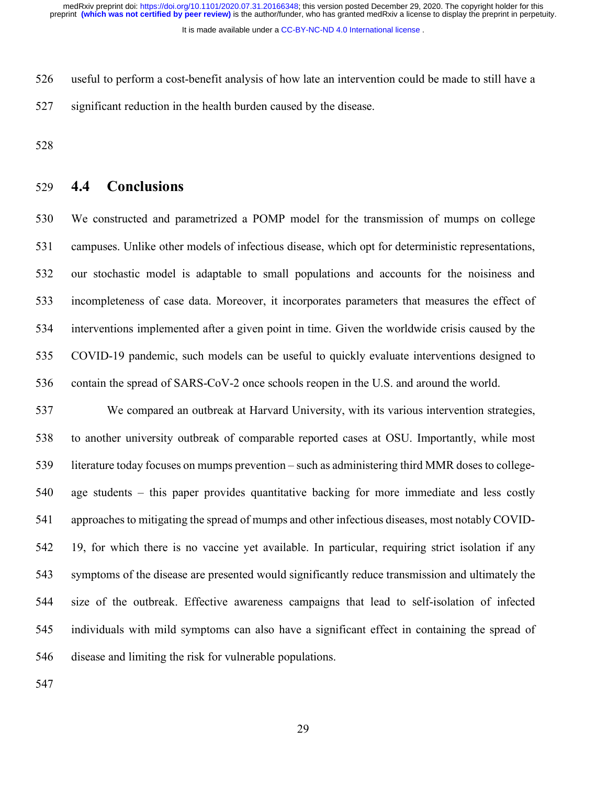It is made available under a [CC-BY-NC-ND 4.0 International license](http://creativecommons.org/licenses/by-nc-nd/4.0/) .

 useful to perform a cost-benefit analysis of how late an intervention could be made to still have a significant reduction in the health burden caused by the disease.

### **4.4 Conclusions**

 We constructed and parametrized a POMP model for the transmission of mumps on college campuses. Unlike other models of infectious disease, which opt for deterministic representations, our stochastic model is adaptable to small populations and accounts for the noisiness and incompleteness of case data. Moreover, it incorporates parameters that measures the effect of interventions implemented after a given point in time. Given the worldwide crisis caused by the COVID-19 pandemic, such models can be useful to quickly evaluate interventions designed to contain the spread of SARS-CoV-2 once schools reopen in the U.S. and around the world.

 We compared an outbreak at Harvard University, with its various intervention strategies, to another university outbreak of comparable reported cases at OSU. Importantly, while most literature today focuses on mumps prevention – such as administering third MMR doses to college- age students – this paper provides quantitative backing for more immediate and less costly approaches to mitigating the spread of mumps and other infectious diseases, most notably COVID- 19, for which there is no vaccine yet available. In particular, requiring strict isolation if any symptoms of the disease are presented would significantly reduce transmission and ultimately the size of the outbreak. Effective awareness campaigns that lead to self-isolation of infected individuals with mild symptoms can also have a significant effect in containing the spread of disease and limiting the risk for vulnerable populations.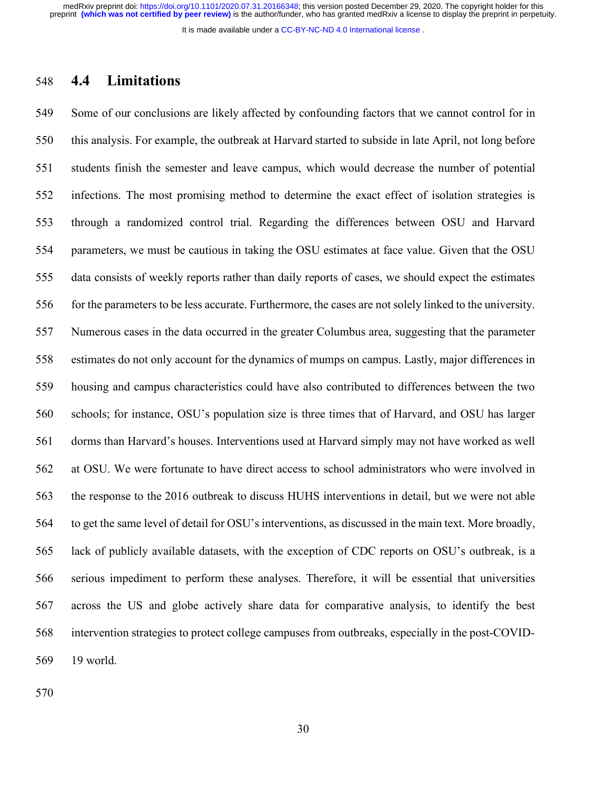It is made available under a [CC-BY-NC-ND 4.0 International license](http://creativecommons.org/licenses/by-nc-nd/4.0/) .

### **4.4 Limitations**

 Some of our conclusions are likely affected by confounding factors that we cannot control for in this analysis. For example, the outbreak at Harvard started to subside in late April, not long before students finish the semester and leave campus, which would decrease the number of potential infections. The most promising method to determine the exact effect of isolation strategies is through a randomized control trial. Regarding the differences between OSU and Harvard parameters, we must be cautious in taking the OSU estimates at face value. Given that the OSU data consists of weekly reports rather than daily reports of cases, we should expect the estimates for the parameters to be less accurate. Furthermore, the cases are not solely linked to the university. Numerous cases in the data occurred in the greater Columbus area, suggesting that the parameter estimates do not only account for the dynamics of mumps on campus. Lastly, major differences in housing and campus characteristics could have also contributed to differences between the two schools; for instance, OSU's population size is three times that of Harvard, and OSU has larger dorms than Harvard's houses. Interventions used at Harvard simply may not have worked as well at OSU. We were fortunate to have direct access to school administrators who were involved in the response to the 2016 outbreak to discuss HUHS interventions in detail, but we were not able to get the same level of detail for OSU's interventions, as discussed in the main text. More broadly, lack of publicly available datasets, with the exception of CDC reports on OSU's outbreak, is a serious impediment to perform these analyses. Therefore, it will be essential that universities across the US and globe actively share data for comparative analysis, to identify the best intervention strategies to protect college campuses from outbreaks, especially in the post-COVID-19 world.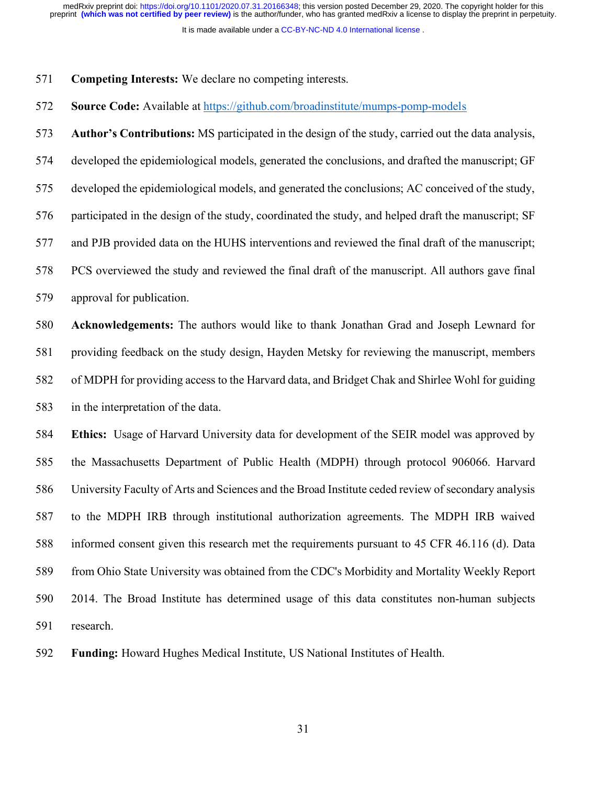It is made available under a [CC-BY-NC-ND 4.0 International license](http://creativecommons.org/licenses/by-nc-nd/4.0/) .

- **Competing Interests:** We declare no competing interests.
- **Source Code:** Available at https://github.com/broadinstitute/mumps-pomp-models

**Author's Contributions:** MS participated in the design of the study, carried out the data analysis,

developed the epidemiological models, generated the conclusions, and drafted the manuscript; GF

developed the epidemiological models, and generated the conclusions; AC conceived of the study,

participated in the design of the study, coordinated the study, and helped draft the manuscript; SF

and PJB provided data on the HUHS interventions and reviewed the final draft of the manuscript;

PCS overviewed the study and reviewed the final draft of the manuscript. All authors gave final

approval for publication.

 **Acknowledgements:** The authors would like to thank Jonathan Grad and Joseph Lewnard for providing feedback on the study design, Hayden Metsky for reviewing the manuscript, members of MDPH for providing access to the Harvard data, and Bridget Chak and Shirlee Wohl for guiding in the interpretation of the data.

 **Ethics:** Usage of Harvard University data for development of the SEIR model was approved by the Massachusetts Department of Public Health (MDPH) through protocol 906066. Harvard University Faculty of Arts and Sciences and the Broad Institute ceded review of secondary analysis to the MDPH IRB through institutional authorization agreements. The MDPH IRB waived informed consent given this research met the requirements pursuant to 45 CFR 46.116 (d). Data from Ohio State University was obtained from the CDC's Morbidity and Mortality Weekly Report 2014. The Broad Institute has determined usage of this data constitutes non-human subjects research.

**Funding:** Howard Hughes Medical Institute, US National Institutes of Health.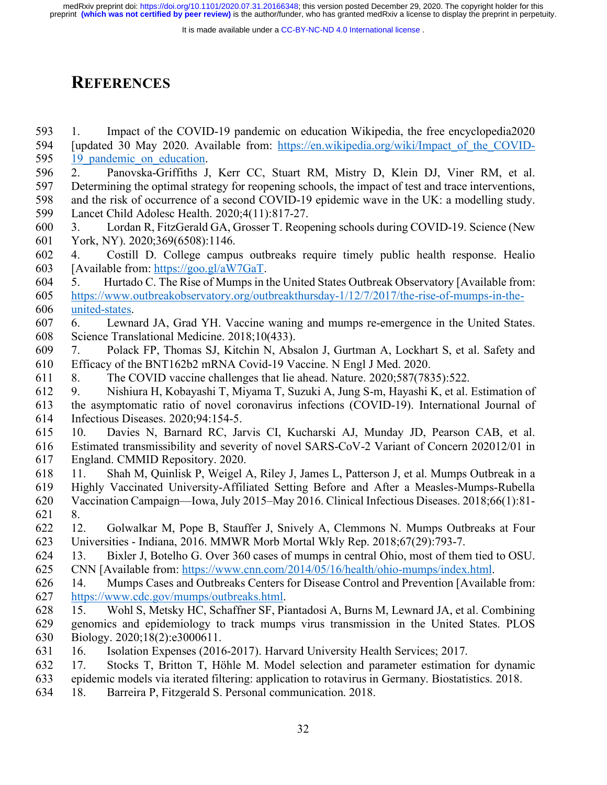It is made available under a CC-BY-NC-ND 4.0 International license.

# **REFERENCES**

- 1. Impact of the COVID-19 pandemic on education Wikipedia, the free encyclopedia2020 594 [updated 30 May 2020. Available from: https://en.wikipedia.org/wiki/Impact of the COVID-595 19 pandemic on education.
- 2. Panovska-Griffiths J, Kerr CC, Stuart RM, Mistry D, Klein DJ, Viner RM, et al. Determining the optimal strategy for reopening schools, the impact of test and trace interventions, and the risk of occurrence of a second COVID-19 epidemic wave in the UK: a modelling study. Lancet Child Adolesc Health. 2020;4(11):817-27.
- 3. Lordan R, FitzGerald GA, Grosser T. Reopening schools during COVID-19. Science (New York, NY). 2020;369(6508):1146.
- 4. Costill D. College campus outbreaks require timely public health response. Healio [Available from: https://goo.gl/aW7GaT.
- 5. Hurtado C. The Rise of Mumps in the United States Outbreak Observatory [Available from: https://www.outbreakobservatory.org/outbreakthursday-1/12/7/2017/the-rise-of-mumps-in-the-united-states.
- 6. Lewnard JA, Grad YH. Vaccine waning and mumps re-emergence in the United States. Science Translational Medicine. 2018;10(433).
- 7. Polack FP, Thomas SJ, Kitchin N, Absalon J, Gurtman A, Lockhart S, et al. Safety and Efficacy of the BNT162b2 mRNA Covid-19 Vaccine. N Engl J Med. 2020.
- 8. The COVID vaccine challenges that lie ahead. Nature. 2020;587(7835):522.
- 9. Nishiura H, Kobayashi T, Miyama T, Suzuki A, Jung S-m, Hayashi K, et al. Estimation of the asymptomatic ratio of novel coronavirus infections (COVID-19). International Journal of Infectious Diseases. 2020;94:154-5.
- 10. Davies N, Barnard RC, Jarvis CI, Kucharski AJ, Munday JD, Pearson CAB, et al. Estimated transmissibility and severity of novel SARS-CoV-2 Variant of Concern 202012/01 in England. CMMID Repository. 2020.
- 11. Shah M, Quinlisk P, Weigel A, Riley J, James L, Patterson J, et al. Mumps Outbreak in a
- Highly Vaccinated University-Affiliated Setting Before and After a Measles-Mumps-Rubella Vaccination Campaign—Iowa, July 2015–May 2016. Clinical Infectious Diseases. 2018;66(1):81- 8.
- 12. Golwalkar M, Pope B, Stauffer J, Snively A, Clemmons N. Mumps Outbreaks at Four Universities - Indiana, 2016. MMWR Morb Mortal Wkly Rep. 2018;67(29):793-7.
- 13. Bixler J, Botelho G. Over 360 cases of mumps in central Ohio, most of them tied to OSU.
- CNN [Available from: https://www.cnn.com/2014/05/16/health/ohio-mumps/index.html.
- 14. Mumps Cases and Outbreaks Centers for Disease Control and Prevention [Available from: https://www.cdc.gov/mumps/outbreaks.html.
- 15. Wohl S, Metsky HC, Schaffner SF, Piantadosi A, Burns M, Lewnard JA, et al. Combining genomics and epidemiology to track mumps virus transmission in the United States. PLOS Biology. 2020;18(2):e3000611.
- 16. Isolation Expenses (2016-2017). Harvard University Health Services; 2017.
- 17. Stocks T, Britton T, Höhle M. Model selection and parameter estimation for dynamic
- epidemic models via iterated filtering: application to rotavirus in Germany. Biostatistics. 2018.
- 18. Barreira P, Fitzgerald S. Personal communication. 2018.